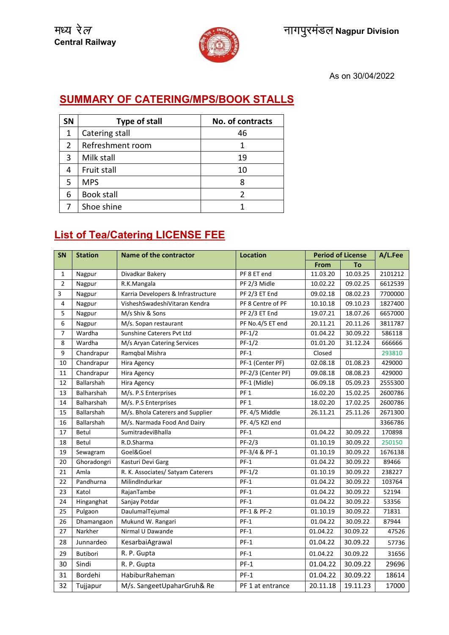

As on 30/04/2022

## **SUMMARY OF CATERING/MPS/BOOK STALLS**

| SΝ | <b>Type of stall</b> | No. of contracts |
|----|----------------------|------------------|
| 1  | Catering stall       | 46               |
| 2  | Refreshment room     |                  |
| 3  | Milk stall           | 19               |
| 4  | Fruit stall          | 10               |
| 5  | <b>MPS</b>           | 8                |
| 6  | <b>Book stall</b>    |                  |
|    | Shoe shine           |                  |

# **List of Tea/Catering LICENSE FEE**

| SN             | <b>Station</b>    | <b>Name of the contractor</b>      | <b>Location</b>    | <b>Period of License</b> |          | A/L.Fee |
|----------------|-------------------|------------------------------------|--------------------|--------------------------|----------|---------|
|                |                   |                                    |                    | From                     | To       |         |
| $\mathbf{1}$   | Nagpur            | Divadkar Bakery                    | PF 8 ET end        | 11.03.20                 | 10.03.25 | 2101212 |
| $\overline{2}$ | Nagpur            | R.K.Mangala                        | PF 2/3 Midle       | 10.02.22                 | 09.02.25 | 6612539 |
| 3              | Nagpur            | Karria Developers & Infrastructure | PF 2/3 ET End      | 09.02.18                 | 08.02.23 | 7700000 |
| 4              | Nagpur            | VisheshSwadeshiVitaran Kendra      | PF 8 Centre of PF  | 10.10.18                 | 09.10.23 | 1827400 |
| 5              | Nagpur            | M/s Shiv & Sons                    | PF 2/3 ET End      | 19.07.21                 | 18.07.26 | 6657000 |
| 6              | Nagpur            | M/s. Sopan restaurant              | PF No.4/5 ET end   | 20.11.21                 | 20.11.26 | 3811787 |
| $\overline{7}$ | Wardha            | Sunshine Caterers Pvt Ltd          | $PF-1/2$           | 01.04.22                 | 30.09.22 | 586118  |
| 8              | Wardha            | M/s Aryan Catering Services        | $PF-1/2$           | 01.01.20                 | 31.12.24 | 666666  |
| 9              | Chandrapur        | Ramqbal Mishra                     | $PF-1$             | Closed                   |          | 293810  |
| 10             | Chandrapur        | Hira Agency                        | PF-1 (Center PF)   | 02.08.18                 | 01.08.23 | 429000  |
| 11             | Chandrapur        | Hira Agency                        | PF-2/3 (Center PF) | 09.08.18                 | 08.08.23 | 429000  |
| 12             | Ballarshah        | Hira Agency                        | PF-1 (Midle)       | 06.09.18                 | 05.09.23 | 2555300 |
| 13             | Balharshah        | M/s. P.S Enterprises               | PF <sub>1</sub>    | 16.02.20                 | 15.02.25 | 2600786 |
| 14             | Balharshah        | M/s. P.S Enterprises               | PF <sub>1</sub>    | 18.02.20                 | 17.02.25 | 2600786 |
| 15             | <b>Ballarshah</b> | M/s. Bhola Caterers and Supplier   | PF. 4/5 Middle     | 26.11.21                 | 25.11.26 | 2671300 |
| 16             | Ballarshah        | M/s. Narmada Food And Dairy        | PF. 4/5 KZI end    |                          |          | 3366786 |
| 17             | Betul             | SumitradeviBhalla                  | $PF-1$             | 01.04.22                 | 30.09.22 | 170898  |
| 18             | Betul             | R.D.Sharma                         | $PF-2/3$           | 01.10.19                 | 30.09.22 | 250150  |
| 19             | Sewagram          | Goel&Goel                          | PF-3/4 & PF-1      | 01.10.19                 | 30.09.22 | 1676138 |
| 20             | Ghoradongri       | Kasturi Devi Garg                  | $PF-1$             | 01.04.22                 | 30.09.22 | 89466   |
| 21             | Amla              | R. K. Associates/ Satyam Caterers  | $PF-1/2$           | 01.10.19                 | 30.09.22 | 238227  |
| 22             | Pandhurna         | MilindIndurkar                     | $PF-1$             | 01.04.22                 | 30.09.22 | 103764  |
| 23             | Katol             | RajanTambe                         | $PF-1$             | 01.04.22                 | 30.09.22 | 52194   |
| 24             | Hinganghat        | Sanjay Potdar                      | $PF-1$             | 01.04.22                 | 30.09.22 | 53356   |
| 25             | Pulgaon           | DaulumalTejumal                    | PF-1 & PF-2        | 01.10.19                 | 30.09.22 | 71831   |
| 26             | Dhamangaon        | Mukund W. Rangari                  | $PF-1$             | 01.04.22                 | 30.09.22 | 87944   |
| 27             | Narkher           | Nirmal U Dawande                   | $PF-1$             | 01.04.22                 | 30.09.22 | 47526   |
| 28             | Junnardeo         | KesarbaiAgrawal                    | $PF-1$             | 01.04.22                 | 30.09.22 | 57736   |
| 29             | Butibori          | R. P. Gupta                        | $PF-1$             | 01.04.22                 | 30.09.22 | 31656   |
| 30             | Sindi             | R. P. Gupta                        | $PF-1$             | 01.04.22                 | 30.09.22 | 29696   |
| 31             | Bordehi           | HabiburRaheman                     | $PF-1$             | 01.04.22                 | 30.09.22 | 18614   |
| 32             | Tujjapur          | M/s. SangeetUpaharGruh& Re         | PF 1 at entrance   | 20.11.18                 | 19.11.23 | 17000   |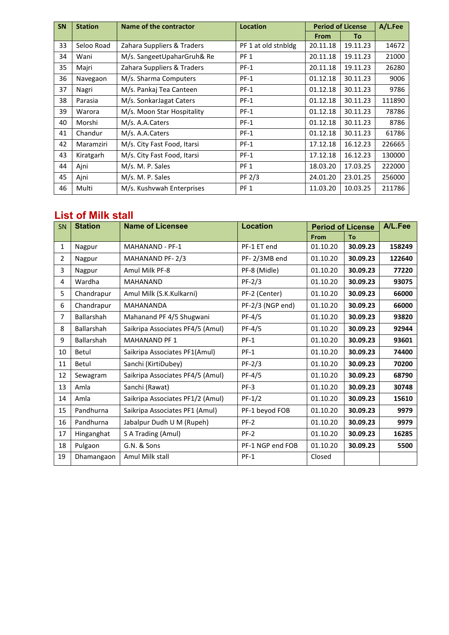| SN | <b>Station</b> | Name of the contractor      | <b>Location</b>     | <b>Period of License</b> | A/L.Fee  |        |
|----|----------------|-----------------------------|---------------------|--------------------------|----------|--------|
|    |                |                             |                     | <b>From</b>              | To       |        |
| 33 | Seloo Road     | Zahara Suppliers & Traders  | PF 1 at old stnbldg | 20.11.18                 | 19.11.23 | 14672  |
| 34 | Wani           | M/s. SangeetUpaharGruh& Re  | PF <sub>1</sub>     | 20.11.18                 | 19.11.23 | 21000  |
| 35 | Majri          | Zahara Suppliers & Traders  | $PF-1$              | 20.11.18                 | 19.11.23 | 26280  |
| 36 | Navegaon       | M/s. Sharma Computers       | $PF-1$              | 01.12.18                 | 30.11.23 | 9006   |
| 37 | Nagri          | M/s. Pankaj Tea Canteen     | $PF-1$              | 01.12.18                 | 30.11.23 | 9786   |
| 38 | Parasia        | M/s. SonkarJagat Caters     | $PF-1$              | 01.12.18                 | 30.11.23 | 111890 |
| 39 | Warora         | M/s. Moon Star Hospitality  | $PF-1$              | 01.12.18                 | 30.11.23 | 78786  |
| 40 | Morshi         | M/s. A.A.Caters             | $PF-1$              | 01.12.18                 | 30.11.23 | 8786   |
| 41 | Chandur        | M/s. A.A.Caters             | $PF-1$              | 01.12.18                 | 30.11.23 | 61786  |
| 42 | Maramziri      | M/s. City Fast Food, Itarsi | $PF-1$              | 17.12.18                 | 16.12.23 | 226665 |
| 43 | Kiratgarh      | M/s. City Fast Food, Itarsi | $PF-1$              | 17.12.18                 | 16.12.23 | 130000 |
| 44 | Ajni           | M/s. M. P. Sales            | PF <sub>1</sub>     | 18.03.20                 | 17.03.25 | 222000 |
| 45 | Ajni           | M/s. M. P. Sales            | PF 2/3              | 24.01.20                 | 23.01.25 | 256000 |
| 46 | Multi          | M/s. Kushywah Enterprises   | PF <sub>1</sub>     | 11.03.20                 | 10.03.25 | 211786 |

# **List of Milk stall**

| SN             | <b>Station</b>    | <b>Name of Licensee</b>          | <b>Location</b>  | <b>Period of License</b> | A/L.Fee  |        |
|----------------|-------------------|----------------------------------|------------------|--------------------------|----------|--------|
|                |                   |                                  |                  | <b>From</b>              | To       |        |
| 1              | Nagpur            | <b>MAHANAND - PF-1</b>           | PF-1 ET end      | 01.10.20                 | 30.09.23 | 158249 |
| 2              | Nagpur            | MAHANAND PF-2/3                  | PF-2/3MB end     | 01.10.20                 | 30.09.23 | 122640 |
| 3              | Nagpur            | Amul Milk PF-8                   | PF-8 (Midle)     | 01.10.20                 | 30.09.23 | 77220  |
| 4              | Wardha            | <b>MAHANAND</b>                  | $PF-2/3$         | 01.10.20                 | 30.09.23 | 93075  |
| 5              | Chandrapur        | Amul Milk (S.K.Kulkarni)         | PF-2 (Center)    | 01.10.20                 | 30.09.23 | 66000  |
| 6              | Chandrapur        | <b>MAHANANDA</b>                 | PF-2/3 (NGP end) | 01.10.20                 | 30.09.23 | 66000  |
| $\overline{7}$ | <b>Ballarshah</b> | Mahanand PF 4/5 Shugwani         | PF-4/5           | 01.10.20                 | 30.09.23 | 93820  |
| 8              | Ballarshah        | Saikripa Associates PF4/5 (Amul) | PF-4/5           | 01.10.20                 | 30.09.23 | 92944  |
| 9              | Ballarshah        | <b>MAHANAND PF 1</b>             | $PF-1$           | 01.10.20                 | 30.09.23 | 93601  |
| 10             | Betul             | Saikripa Associates PF1(Amul)    | $PF-1$           | 01.10.20                 | 30.09.23 | 74400  |
| 11             | Betul             | Sanchi (KirtiDubey)              | $PF-2/3$         | 01.10.20                 | 30.09.23 | 70200  |
| 12             | Sewagram          | Saikripa Associates PF4/5 (Amul) | PF-4/5           | 01.10.20                 | 30.09.23 | 68790  |
| 13             | Amla              | Sanchi (Rawat)                   | $PF-3$           | 01.10.20                 | 30.09.23 | 30748  |
| 14             | Amla              | Saikripa Associates PF1/2 (Amul) | $PF-1/2$         | 01.10.20                 | 30.09.23 | 15610  |
| 15             | Pandhurna         | Saikripa Associates PF1 (Amul)   | PF-1 beyod FOB   | 01.10.20                 | 30.09.23 | 9979   |
| 16             | Pandhurna         | Jabalpur Dudh U M (Rupeh)        | PF-2             | 01.10.20                 | 30.09.23 | 9979   |
| 17             | Hinganghat        | S A Trading (Amul)               | $PF-2$           | 01.10.20                 | 30.09.23 | 16285  |
| 18             | Pulgaon           | G.N. & Sons                      | PF-1 NGP end FOB | 01.10.20                 | 30.09.23 | 5500   |
| 19             | Dhamangaon        | Amul Milk stall                  | $PF-1$           | Closed                   |          |        |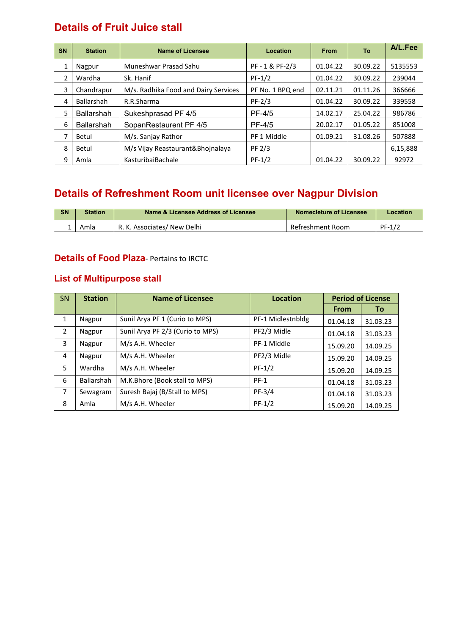### **Details of Fruit Juice stall**

| <b>SN</b> | <b>Station</b>    | <b>Name of Licensee</b>              | Location         | <b>From</b> | To       | A/L.Fee  |
|-----------|-------------------|--------------------------------------|------------------|-------------|----------|----------|
| 1         | Nagpur            | Muneshwar Prasad Sahu                | PF-1& PF-2/3     | 01.04.22    | 30.09.22 | 5135553  |
| 2         | Wardha            | Sk. Hanif                            | $PF-1/2$         | 01.04.22    | 30.09.22 | 239044   |
| 3         | Chandrapur        | M/s. Radhika Food and Dairy Services | PF No. 1 BPQ end | 02.11.21    | 01.11.26 | 366666   |
| 4         | <b>Ballarshah</b> | R.R.Sharma                           | $PF-2/3$         | 01.04.22    | 30.09.22 | 339558   |
| 5         | <b>Ballarshah</b> | Sukeshprasad PF 4/5                  | PF-4/5           | 14.02.17    | 25.04.22 | 986786   |
| 6         | <b>Ballarshah</b> | SopanRestaurent PF 4/5               |                  | 20.02.17    | 01.05.22 | 851008   |
| 7         | Betul             | M/s. Sanjay Rathor                   | PF 1 Middle      | 01.09.21    | 31.08.26 | 507888   |
| 8         | Betul             | M/s Vijay Reastaurant&Bhojnalaya     | PF 2/3           |             |          | 6,15,888 |
| 9         | Amla              | <b>KasturibaiBachale</b>             | $PF-1/2$         | 01.04.22    | 30.09.22 | 92972    |

## **Details of Refreshment Room unit licensee over Nagpur Division**

| <b>SN</b> | <b>Station</b> | Name & Licensee Address of Licensee | Nomecleture of Licensee | Location |
|-----------|----------------|-------------------------------------|-------------------------|----------|
|           | Amla           | R. K. Associates/ New Delhi         | Refreshment Room        | $PF-1/2$ |

#### **Details of Food Plaza**- Pertains to IRCTC

#### **List of Multipurpose stall**

| SN             | <b>Station</b> | <b>Name of Licensee</b>          | <b>Location</b>   |             | <b>Period of License</b> |
|----------------|----------------|----------------------------------|-------------------|-------------|--------------------------|
|                |                |                                  |                   | <b>From</b> | To                       |
| $\mathbf{1}$   | Nagpur         | Sunil Arya PF 1 (Curio to MPS)   | PF-1 Midlestnbldg | 01.04.18    | 31.03.23                 |
| $\overline{2}$ | Nagpur         | Sunil Arya PF 2/3 (Curio to MPS) | PF2/3 Midle       | 01.04.18    | 31.03.23                 |
| 3              | Nagpur         | M/s A.H. Wheeler                 | PF-1 Middle       | 15.09.20    | 14.09.25                 |
| 4              | Nagpur         | M/s A.H. Wheeler                 | PF2/3 Midle       | 15.09.20    | 14.09.25                 |
| 5.             | Wardha         | M/s A.H. Wheeler                 | $PF-1/2$          | 15.09.20    | 14.09.25                 |
| 6              | Ballarshah     | M.K.Bhore (Book stall to MPS)    | $PF-1$            | 01.04.18    | 31.03.23                 |
| $\overline{7}$ | Sewagram       | Suresh Bajaj (B/Stall to MPS)    | $PF-3/4$          | 01.04.18    | 31.03.23                 |
| 8              | Amla           | M/s A.H. Wheeler                 | $PF-1/2$          | 15.09.20    | 14.09.25                 |